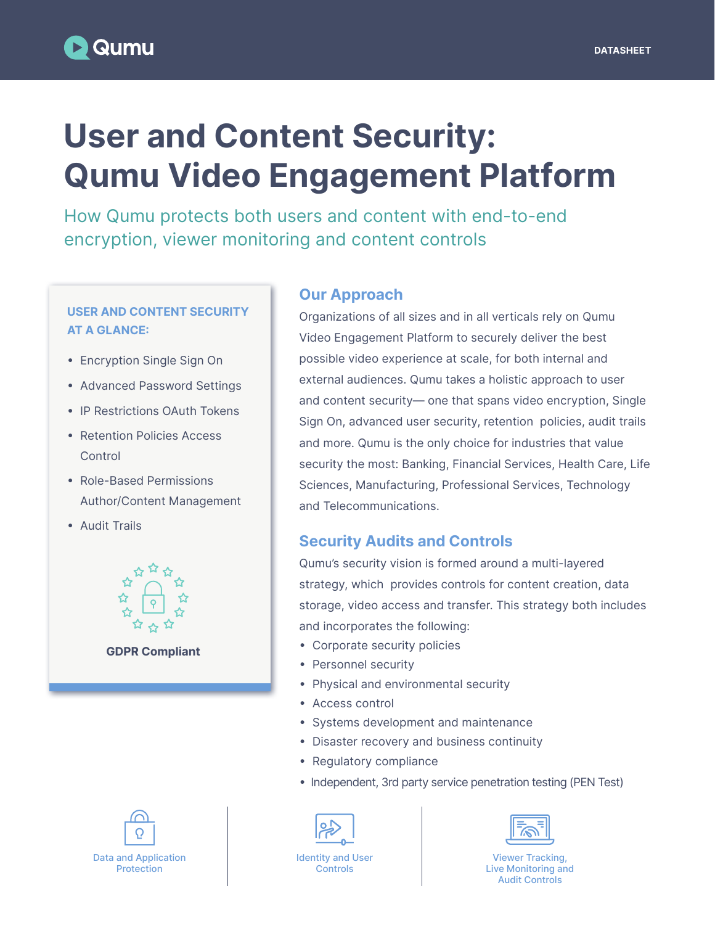# User and Content Security: Qumu Video Engagement Platform

How Qumu protects both users and content with end-to-end encryption, viewer monitoring and content controls

#### USER AND CONTENT SECURITY AT A GLANCE:

- Encryption Single Sign On
- Advanced Password Settings
- IP Restrictions OAuth Tokens
- Retention Policies Access Control
- Role-Based Permissions Author/Content Management
- Audit Trails



GDPR Compliant

Our Approach

Organizations of all sizes and in all verticals rely on Qumu Video Engagement Platform to securely deliver the best possible video experience at scale, for both internal and external audiences. Qumu takes a holistic approach to user and content security— one that spans video encryption, Single Sign On, advanced user security, retention policies, audit trails and more. Qumu is the only choice for industries that value security the most: Banking, Financial Services, Health Care, Life Sciences, Manufacturing, Professional Services, Technology and Telecommunications.

### Security Audits and Controls

Qumu's security vision is formed around a multi-layered strategy, which provides controls for content creation, data storage, video access and transfer. This strategy both includes and incorporates the following:

- Corporate security policies
- Personnel security
- Physical and environmental security
- Access control
- Systems development and maintenance
- Disaster recovery and business continuity
- Regulatory compliance
- Independent, 3rd party service penetration testing (PEN Test)





Identity and User **Controls** 



Viewer Tracking, Live Monitoring and Audit Controls